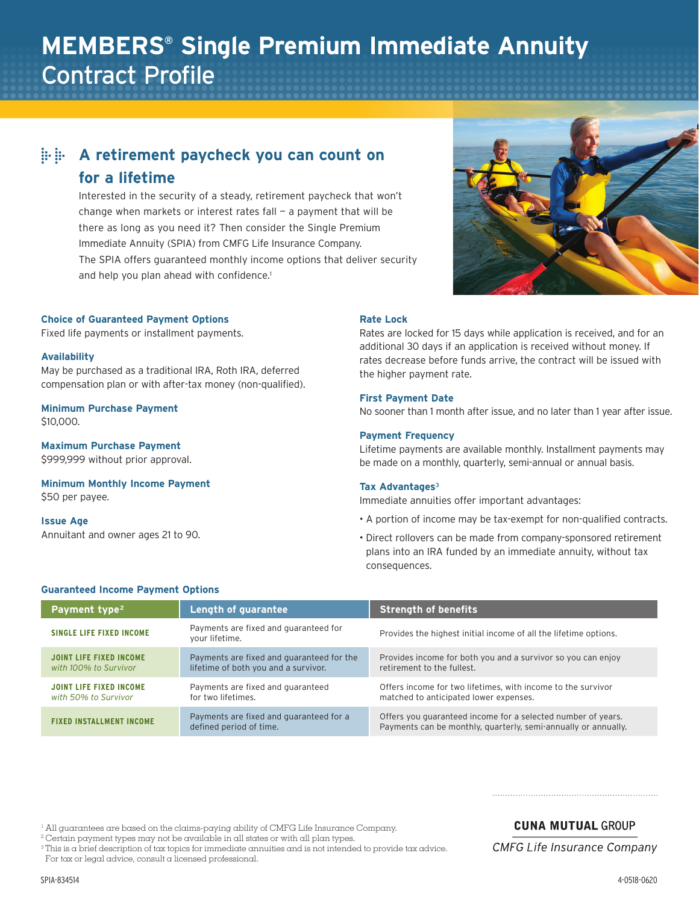# **MEMBERS® Single Premium Immediate Annuity** Contract Profile

# **A retirement paycheck you can count on for a lifetime**

Interested in the security of a steady, retirement paycheck that won't change when markets or interest rates fall  $-$  a payment that will be there as long as you need it? Then consider the Single Premium Immediate Annuity (SPIA) from CMFG Life Insurance Company. The SPIA offers guaranteed monthly income options that deliver security and help you plan ahead with confidence.<sup>1</sup>

#### **Choice of Guaranteed Payment Options**

Fixed life payments or installment payments.

#### **Availability**

May be purchased as a traditional IRA, Roth IRA, deferred compensation plan or with after-tax money (non-qualified).

#### **Minimum Purchase Payment** \$10,000.

**Maximum Purchase Payment** \$999,999 without prior approval.

**Minimum Monthly Income Payment** \$50 per payee.

# **Issue Age**

Annuitant and owner ages 21 to 90.

# **Rate Lock**

Rates are locked for 15 days while application is received, and for an additional 30 days if an application is received without money. If rates decrease before funds arrive, the contract will be issued with the higher payment rate.

# **First Payment Date**

No sooner than 1 month after issue, and no later than 1 year after issue.

#### **Payment Frequency**

Lifetime payments are available monthly. Installment payments may be made on a monthly, quarterly, semi-annual or annual basis.

#### **Tax Advantages**<sup>3</sup>

Immediate annuities offer important advantages:

- A portion of income may be tax-exempt for non-qualified contracts.
- Direct rollovers can be made from company-sponsored retirement plans into an IRA funded by an immediate annuity, without tax consequences.

#### **Guaranteed Income Payment Options**

| Payment type <sup>2</sup>                               | <b>Length of guarantee</b>                                                        | <b>Strength of benefits</b>                                                                                                    |
|---------------------------------------------------------|-----------------------------------------------------------------------------------|--------------------------------------------------------------------------------------------------------------------------------|
| <b>SINGLE LIFE FIXED INCOME</b>                         | Payments are fixed and guaranteed for<br>your lifetime.                           | Provides the highest initial income of all the lifetime options.                                                               |
| <b>JOINT LIFE FIXED INCOME</b><br>with 100% to Survivor | Payments are fixed and quaranteed for the<br>lifetime of both you and a survivor. | Provides income for both you and a survivor so you can enjoy<br>retirement to the fullest.                                     |
| JOINT LIFE FIXED INCOME<br>with 50% to Survivor         | Payments are fixed and quaranteed<br>for two lifetimes.                           | Offers income for two lifetimes, with income to the survivor<br>matched to anticipated lower expenses.                         |
| <b>FIXED INSTALLMENT INCOME</b>                         | Payments are fixed and guaranteed for a<br>defined period of time.                | Offers you guaranteed income for a selected number of years.<br>Payments can be monthly, quarterly, semi-annually or annually. |

<sup>1</sup> All guarantees are based on the claims-paying ability of CMFG Life Insurance Company.

<sup>2</sup> Certain payment types may not be available in all states or with all plan types.

 $3$  This is a brief description of tax topics for immediate annuities and is not intended to provide tax advice. For tax or legal advice, consult a licensed professional.

**CUNA MUTUAL GROUP** 

**CMFG Life Insurance Company**